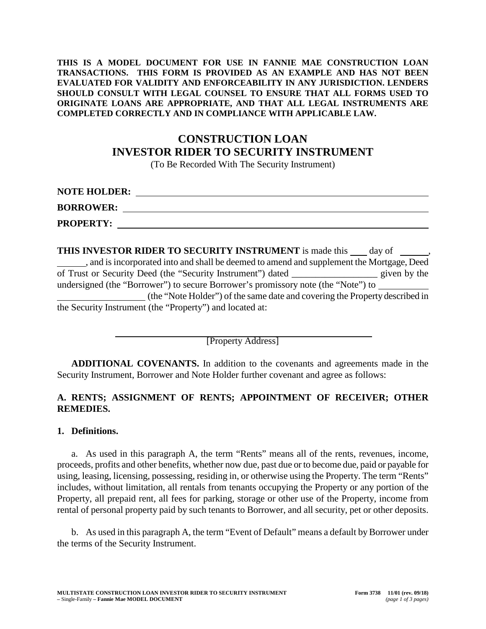#### **THIS IS A MODEL DOCUMENT FOR USE IN FANNIE MAE CONSTRUCTION LOAN TRANSACTIONS. THIS FORM IS PROVIDED AS AN EXAMPLE AND HAS NOT BEEN EVALUATED FOR VALIDITY AND ENFORCEABILITY IN ANY JURISDICTION. LENDERS SHOULD CONSULT WITH LEGAL COUNSEL TO ENSURE THAT ALL FORMS USED TO ORIGINATE LOANS ARE APPROPRIATE, AND THAT ALL LEGAL INSTRUMENTS ARE COMPLETED CORRECTLY AND IN COMPLIANCE WITH APPLICABLE LAW.**

# **CONSTRUCTION LOAN INVESTOR RIDER TO SECURITY INSTRUMENT**

(To Be Recorded With The Security Instrument)

| <b>NOTE HOLDER:</b> |  |
|---------------------|--|
| <b>BORROWER:</b>    |  |
| <b>PROPERTY:</b>    |  |

**THIS INVESTOR RIDER TO SECURITY INSTRUMENT** is made this  $\_\_\_$  day of  $\_\_\_\_\_$ , and is incorporated into and shall be deemed to amend and supplement the Mortgage, Deed of Trust or Security Deed (the "Security Instrument") dated \_\_\_\_\_\_\_\_\_\_\_\_\_\_\_\_\_\_ given by the undersigned (the "Borrower") to secure Borrower's promissory note (the "Note") to (the "Note Holder") of the same date and covering the Property described in the Security Instrument (the "Property") and located at:

[Property Address]

**ADDITIONAL COVENANTS.** In addition to the covenants and agreements made in the Security Instrument, Borrower and Note Holder further covenant and agree as follows:

## **A. RENTS; ASSIGNMENT OF RENTS; APPOINTMENT OF RECEIVER; OTHER REMEDIES.**

### **1. Definitions.**

a. As used in this paragraph A, the term "Rents" means all of the rents, revenues, income, proceeds, profits and other benefits, whether now due, past due or to become due, paid or payable for using, leasing, licensing, possessing, residing in, or otherwise using the Property. The term "Rents" includes, without limitation, all rentals from tenants occupying the Property or any portion of the Property, all prepaid rent, all fees for parking, storage or other use of the Property, income from rental of personal property paid by such tenants to Borrower, and all security, pet or other deposits.

b. As used in this paragraph A, the term "Event of Default" means a default by Borrower under the terms of the Security Instrument.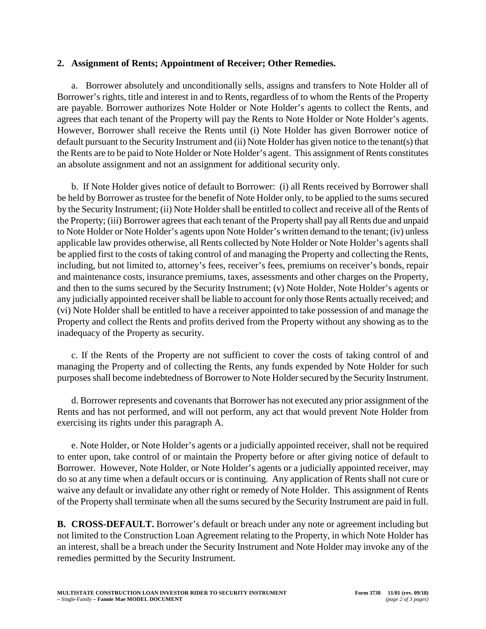## **2. Assignment of Rents; Appointment of Receiver; Other Remedies.**

a. Borrower absolutely and unconditionally sells, assigns and transfers to Note Holder all of Borrower's rights, title and interest in and to Rents, regardless of to whom the Rents of the Property are payable. Borrower authorizes Note Holder or Note Holder's agents to collect the Rents, and agrees that each tenant of the Property will pay the Rents to Note Holder or Note Holder's agents. However, Borrower shall receive the Rents until (i) Note Holder has given Borrower notice of default pursuant to the Security Instrument and (ii) Note Holder has given notice to the tenant(s) that the Rents are to be paid to Note Holder or Note Holder's agent. This assignment of Rents constitutes an absolute assignment and not an assignment for additional security only.

b. If Note Holder gives notice of default to Borrower: (i) all Rents received by Borrower shall be held by Borrower as trustee for the benefit of Note Holder only, to be applied to the sums secured by the Security Instrument; (ii) Note Holder shall be entitled to collect and receive all of the Rents of the Property; (iii) Borrower agrees that each tenant of the Property shall pay all Rents due and unpaid to Note Holder or Note Holder's agents upon Note Holder's written demand to the tenant; (iv) unless applicable law provides otherwise, all Rents collected by Note Holder or Note Holder's agents shall be applied first to the costs of taking control of and managing the Property and collecting the Rents, including, but not limited to, attorney's fees, receiver's fees, premiums on receiver's bonds, repair and maintenance costs, insurance premiums, taxes, assessments and other charges on the Property, and then to the sums secured by the Security Instrument; (v) Note Holder, Note Holder's agents or any judicially appointed receiver shall be liable to account for only those Rents actually received; and (vi) Note Holder shall be entitled to have a receiver appointed to take possession of and manage the Property and collect the Rents and profits derived from the Property without any showing as to the inadequacy of the Property as security.

c. If the Rents of the Property are not sufficient to cover the costs of taking control of and managing the Property and of collecting the Rents, any funds expended by Note Holder for such purposes shall become indebtedness of Borrower to Note Holder secured by the Security Instrument.

d. Borrower represents and covenants that Borrower has not executed any prior assignment of the Rents and has not performed, and will not perform, any act that would prevent Note Holder from exercising its rights under this paragraph A.

e. Note Holder, or Note Holder's agents or a judicially appointed receiver, shall not be required to enter upon, take control of or maintain the Property before or after giving notice of default to Borrower. However, Note Holder, or Note Holder's agents or a judicially appointed receiver, may do so at any time when a default occurs or is continuing. Any application of Rents shall not cure or waive any default or invalidate any other right or remedy of Note Holder. This assignment of Rents of the Property shall terminate when all the sums secured by the Security Instrument are paid in full.

**B. CROSS-DEFAULT.** Borrower's default or breach under any note or agreement including but not limited to the Construction Loan Agreement relating to the Property, in which Note Holder has an interest, shall be a breach under the Security Instrument and Note Holder may invoke any of the remedies permitted by the Security Instrument.